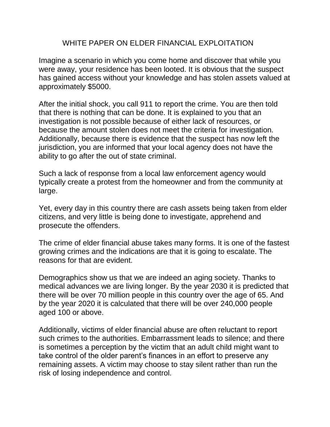## WHITE PAPER ON ELDER FINANCIAL EXPLOITATION

Imagine a scenario in which you come home and discover that while you were away, your residence has been looted. It is obvious that the suspect has gained access without your knowledge and has stolen assets valued at approximately \$5000.

After the initial shock, you call 911 to report the crime. You are then told that there is nothing that can be done. It is explained to you that an investigation is not possible because of either lack of resources, or because the amount stolen does not meet the criteria for investigation. Additionally, because there is evidence that the suspect has now left the jurisdiction, you are informed that your local agency does not have the ability to go after the out of state criminal.

Such a lack of response from a local law enforcement agency would typically create a protest from the homeowner and from the community at large.

Yet, every day in this country there are cash assets being taken from elder citizens, and very little is being done to investigate, apprehend and prosecute the offenders.

The crime of elder financial abuse takes many forms. It is one of the fastest growing crimes and the indications are that it is going to escalate. The reasons for that are evident.

Demographics show us that we are indeed an aging society. Thanks to medical advances we are living longer. By the year 2030 it is predicted that there will be over 70 million people in this country over the age of 65. And by the year 2020 it is calculated that there will be over 240,000 people aged 100 or above.

Additionally, victims of elder financial abuse are often reluctant to report such crimes to the authorities. Embarrassment leads to silence; and there is sometimes a perception by the victim that an adult child might want to take control of the older parent's finances in an effort to preserve any remaining assets. A victim may choose to stay silent rather than run the risk of losing independence and control.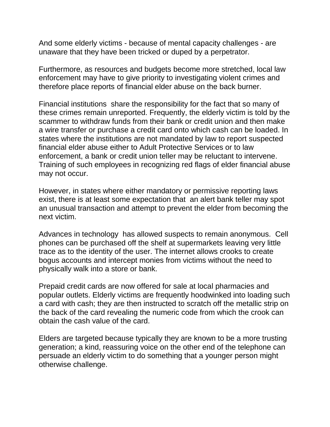And some elderly victims - because of mental capacity challenges - are unaware that they have been tricked or duped by a perpetrator.

Furthermore, as resources and budgets become more stretched, local law enforcement may have to give priority to investigating violent crimes and therefore place reports of financial elder abuse on the back burner.

Financial institutions share the responsibility for the fact that so many of these crimes remain unreported. Frequently, the elderly victim is told by the scammer to withdraw funds from their bank or credit union and then make a wire transfer or purchase a credit card onto which cash can be loaded. In states where the institutions are not mandated by law to report suspected financial elder abuse either to Adult Protective Services or to law enforcement, a bank or credit union teller may be reluctant to intervene. Training of such employees in recognizing red flags of elder financial abuse may not occur.

However, in states where either mandatory or permissive reporting laws exist, there is at least some expectation that an alert bank teller may spot an unusual transaction and attempt to prevent the elder from becoming the next victim.

Advances in technology has allowed suspects to remain anonymous. Cell phones can be purchased off the shelf at supermarkets leaving very little trace as to the identity of the user. The internet allows crooks to create bogus accounts and intercept monies from victims without the need to physically walk into a store or bank.

Prepaid credit cards are now offered for sale at local pharmacies and popular outlets. Elderly victims are frequently hoodwinked into loading such a card with cash; they are then instructed to scratch off the metallic strip on the back of the card revealing the numeric code from which the crook can obtain the cash value of the card.

Elders are targeted because typically they are known to be a more trusting generation; a kind, reassuring voice on the other end of the telephone can persuade an elderly victim to do something that a younger person might otherwise challenge.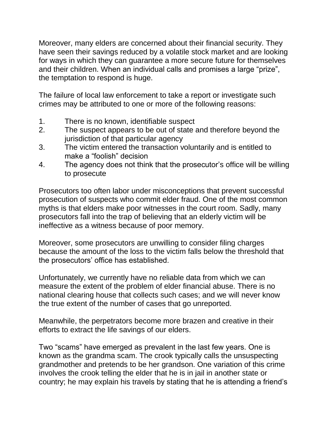Moreover, many elders are concerned about their financial security. They have seen their savings reduced by a volatile stock market and are looking for ways in which they can guarantee a more secure future for themselves and their children. When an individual calls and promises a large "prize", the temptation to respond is huge.

The failure of local law enforcement to take a report or investigate such crimes may be attributed to one or more of the following reasons:

- 1. There is no known, identifiable suspect
- 2. The suspect appears to be out of state and therefore beyond the jurisdiction of that particular agency
- 3. The victim entered the transaction voluntarily and is entitled to make a "foolish" decision
- 4. The agency does not think that the prosecutor's office will be willing to prosecute

Prosecutors too often labor under misconceptions that prevent successful prosecution of suspects who commit elder fraud. One of the most common myths is that elders make poor witnesses in the court room. Sadly, many prosecutors fall into the trap of believing that an elderly victim will be ineffective as a witness because of poor memory.

Moreover, some prosecutors are unwilling to consider filing charges because the amount of the loss to the victim falls below the threshold that the prosecutors' office has established.

Unfortunately, we currently have no reliable data from which we can measure the extent of the problem of elder financial abuse. There is no national clearing house that collects such cases; and we will never know the true extent of the number of cases that go unreported.

Meanwhile, the perpetrators become more brazen and creative in their efforts to extract the life savings of our elders.

Two "scams" have emerged as prevalent in the last few years. One is known as the grandma scam. The crook typically calls the unsuspecting grandmother and pretends to be her grandson. One variation of this crime involves the crook telling the elder that he is in jail in another state or country; he may explain his travels by stating that he is attending a friend's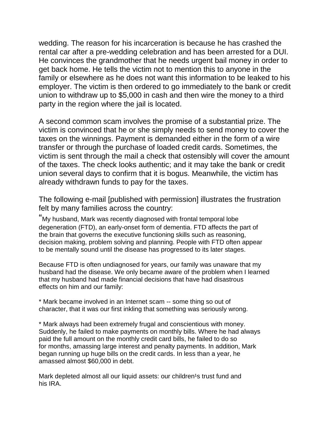wedding. The reason for his incarceration is because he has crashed the rental car after a pre-wedding celebration and has been arrested for a DUI. He convinces the grandmother that he needs urgent bail money in order to get back home. He tells the victim not to mention this to anyone in the family or elsewhere as he does not want this information to be leaked to his employer. The victim is then ordered to go immediately to the bank or credit union to withdraw up to \$5,000 in cash and then wire the money to a third party in the region where the jail is located.

A second common scam involves the promise of a substantial prize. The victim is convinced that he or she simply needs to send money to cover the taxes on the winnings. Payment is demanded either in the form of a wire transfer or through the purchase of loaded credit cards. Sometimes, the victim is sent through the mail a check that ostensibly will cover the amount of the taxes. The check looks authentic; and it may take the bank or credit union several days to confirm that it is bogus. Meanwhile, the victim has already withdrawn funds to pay for the taxes.

The following e-mail [published with permission] illustrates the frustration felt by many families across the country:

"My husband, Mark was recently diagnosed with frontal temporal lobe degeneration (FTD), an early-onset form of dementia. FTD affects the part of the brain that governs the executive functioning skills such as reasoning, decision making, problem solving and planning. People with FTD often appear to be mentally sound until the disease has progressed to its later stages.

Because FTD is often undiagnosed for years, our family was unaware that my husband had the disease. We only became aware of the problem when I learned that my husband had made financial decisions that have had disastrous effects on him and our family:

\* Mark became involved in an Internet scam -- some thing so out of character, that it was our first inkling that something was seriously wrong.

\* Mark always had been extremely frugal and conscientious with money. Suddenly, he failed to make payments on monthly bills. Where he had always paid the full amount on the monthly credit card bills, he failed to do so for months, amassing large interest and penalty payments. In addition, Mark began running up huge bills on the credit cards. In less than a year, he amassed almost \$60,000 in debt.

Mark depleted almost all our liquid assets: our children<sup>1</sup>s trust fund and his IRA.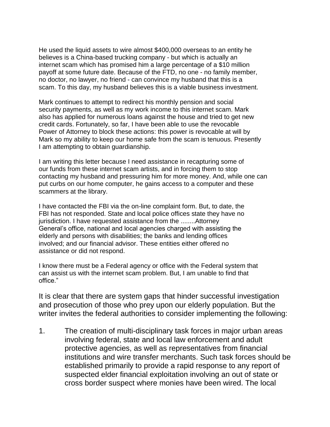He used the liquid assets to wire almost \$400,000 overseas to an entity he believes is a China-based trucking company - but which is actually an internet scam which has promised him a large percentage of a \$10 million payoff at some future date. Because of the FTD, no one - no family member, no doctor, no lawyer, no friend - can convince my husband that this is a scam. To this day, my husband believes this is a viable business investment.

Mark continues to attempt to redirect his monthly pension and social security payments, as well as my work income to this internet scam. Mark also has applied for numerous loans against the house and tried to get new credit cards. Fortunately, so far, I have been able to use the revocable Power of Attorney to block these actions: this power is revocable at will by Mark so my ability to keep our home safe from the scam is tenuous. Presently I am attempting to obtain guardianship.

I am writing this letter because I need assistance in recapturing some of our funds from these internet scam artists, and in forcing them to stop contacting my husband and pressuring him for more money. And, while one can put curbs on our home computer, he gains access to a computer and these scammers at the library.

I have contacted the FBI via the on-line complaint form. But, to date, the FBI has not responded. State and local police offices state they have no jurisdiction. I have requested assistance from the ........Attorney General's office, national and local agencies charged with assisting the elderly and persons with disabilities; the banks and lending offices involved; and our financial advisor. These entities either offered no assistance or did not respond.

I know there must be a Federal agency or office with the Federal system that can assist us with the internet scam problem. But, I am unable to find that office."

It is clear that there are system gaps that hinder successful investigation and prosecution of those who prey upon our elderly population. But the writer invites the federal authorities to consider implementing the following:

1. The creation of multi-disciplinary task forces in major urban areas involving federal, state and local law enforcement and adult protective agencies, as well as representatives from financial institutions and wire transfer merchants. Such task forces should be established primarily to provide a rapid response to any report of suspected elder financial exploitation involving an out of state or cross border suspect where monies have been wired. The local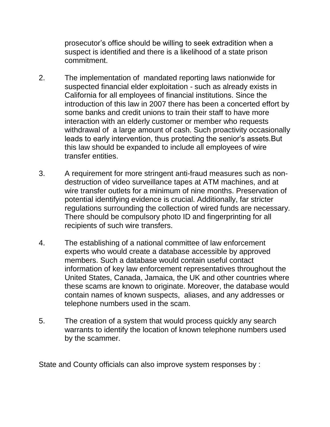prosecutor's office should be willing to seek extradition when a suspect is identified and there is a likelihood of a state prison commitment.

- 2. The implementation of mandated reporting laws nationwide for suspected financial elder exploitation - such as already exists in California for all employees of financial institutions. Since the introduction of this law in 2007 there has been a concerted effort by some banks and credit unions to train their staff to have more interaction with an elderly customer or member who requests withdrawal of a large amount of cash. Such proactivity occasionally leads to early intervention, thus protecting the senior's assets.But this law should be expanded to include all employees of wire transfer entities.
- 3. A requirement for more stringent anti-fraud measures such as nondestruction of video surveillance tapes at ATM machines, and at wire transfer outlets for a minimum of nine months. Preservation of potential identifying evidence is crucial. Additionally, far stricter regulations surrounding the collection of wired funds are necessary. There should be compulsory photo ID and fingerprinting for all recipients of such wire transfers.
- 4. The establishing of a national committee of law enforcement experts who would create a database accessible by approved members. Such a database would contain useful contact information of key law enforcement representatives throughout the United States, Canada, Jamaica, the UK and other countries where these scams are known to originate. Moreover, the database would contain names of known suspects, aliases, and any addresses or telephone numbers used in the scam.
- 5. The creation of a system that would process quickly any search warrants to identify the location of known telephone numbers used by the scammer.

State and County officials can also improve system responses by :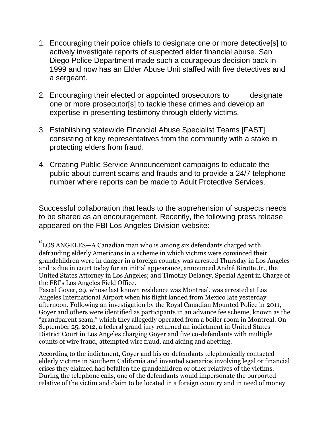- 1. Encouraging their police chiefs to designate one or more detective[s] to actively investigate reports of suspected elder financial abuse. San Diego Police Department made such a courageous decision back in 1999 and now has an Elder Abuse Unit staffed with five detectives and a sergeant.
- 2. Encouraging their elected or appointed prosecutors to designate one or more prosecutor[s] to tackle these crimes and develop an expertise in presenting testimony through elderly victims.
- 3. Establishing statewide Financial Abuse Specialist Teams [FAST] consisting of key representatives from the community with a stake in protecting elders from fraud.
- 4. Creating Public Service Announcement campaigns to educate the public about current scams and frauds and to provide a 24/7 telephone number where reports can be made to Adult Protective Services.

Successful collaboration that leads to the apprehension of suspects needs to be shared as an encouragement. Recently, the following press release appeared on the FBI Los Angeles Division website:

"LOS ANGELES—A Canadian man who is among six defendants charged with defrauding elderly Americans in a scheme in which victims were convinced their grandchildren were in danger in a foreign country was arrested Thursday in Los Angeles and is due in court today for an initial appearance, announced André Birotte Jr., the United States Attorney in Los Angeles; and Timothy Delaney, Special Agent in Charge of the FBI's Los Angeles Field Office.

Pascal Goyer, 29, whose last known residence was Montreal, was arrested at Los Angeles International Airport when his flight landed from Mexico late yesterday afternoon. Following an investigation by the Royal Canadian Mounted Police in 2011, Goyer and others were identified as participants in an advance fee scheme, known as the "grandparent scam," which they allegedly operated from a boiler room in Montreal. On September 25, 2012, a federal grand jury returned an indictment in United States District Court in Los Angeles charging Goyer and five co-defendants with multiple counts of wire fraud, attempted wire fraud, and aiding and abetting.

According to the indictment, Goyer and his co-defendants telephonically contacted elderly victims in Southern California and invented scenarios involving legal or financial crises they claimed had befallen the grandchildren or other relatives of the victims. During the telephone calls, one of the defendants would impersonate the purported relative of the victim and claim to be located in a foreign country and in need of money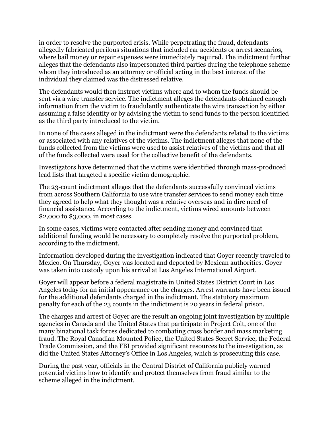in order to resolve the purported crisis. While perpetrating the fraud, defendants allegedly fabricated perilous situations that included car accidents or arrest scenarios, where bail money or repair expenses were immediately required. The indictment further alleges that the defendants also impersonated third parties during the telephone scheme whom they introduced as an attorney or official acting in the best interest of the individual they claimed was the distressed relative.

The defendants would then instruct victims where and to whom the funds should be sent via a wire transfer service. The indictment alleges the defendants obtained enough information from the victim to fraudulently authenticate the wire transaction by either assuming a false identity or by advising the victim to send funds to the person identified as the third party introduced to the victim.

In none of the cases alleged in the indictment were the defendants related to the victims or associated with any relatives of the victims. The indictment alleges that none of the funds collected from the victims were used to assist relatives of the victims and that all of the funds collected were used for the collective benefit of the defendants.

Investigators have determined that the victims were identified through mass-produced lead lists that targeted a specific victim demographic.

The 23-count indictment alleges that the defendants successfully convinced victims from across Southern California to use wire transfer services to send money each time they agreed to help what they thought was a relative overseas and in dire need of financial assistance. According to the indictment, victims wired amounts between \$2,000 to \$3,000, in most cases.

In some cases, victims were contacted after sending money and convinced that additional funding would be necessary to completely resolve the purported problem, according to the indictment.

Information developed during the investigation indicated that Goyer recently traveled to Mexico. On Thursday, Goyer was located and deported by Mexican authorities. Goyer was taken into custody upon his arrival at Los Angeles International Airport.

Goyer will appear before a federal magistrate in United States District Court in Los Angeles today for an initial appearance on the charges. Arrest warrants have been issued for the additional defendants charged in the indictment. The statutory maximum penalty for each of the 23 counts in the indictment is 20 years in federal prison.

The charges and arrest of Goyer are the result an ongoing joint investigation by multiple agencies in Canada and the United States that participate in Project Colt, one of the many binational task forces dedicated to combating cross border and mass marketing fraud. The Royal Canadian Mounted Police, the United States Secret Service, the Federal Trade Commission, and the FBI provided significant resources to the investigation, as did the United States Attorney's Office in Los Angeles, which is prosecuting this case.

During the past year, officials in the Central District of California publicly warned potential victims how to identify and protect themselves from fraud similar to the scheme alleged in the indictment.